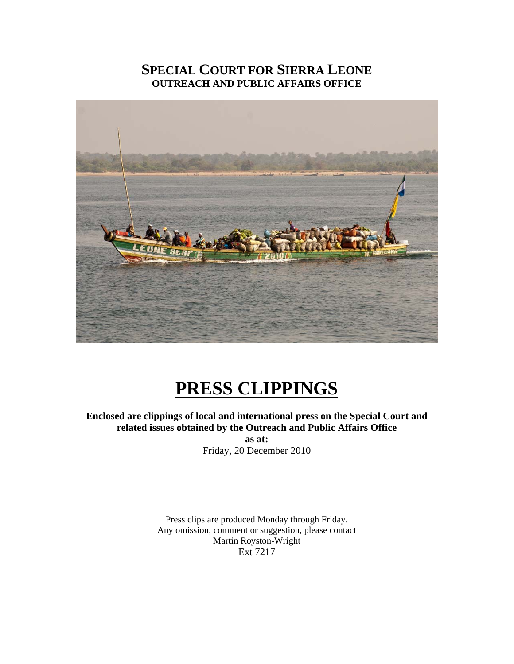# **SPECIAL COURT FOR SIERRA LEONE OUTREACH AND PUBLIC AFFAIRS OFFICE**



# **PRESS CLIPPINGS**

#### **Enclosed are clippings of local and international press on the Special Court and related issues obtained by the Outreach and Public Affairs Office as at:**

Friday, 20 December 2010

Press clips are produced Monday through Friday. Any omission, comment or suggestion, please contact Martin Royston-Wright Ext 7217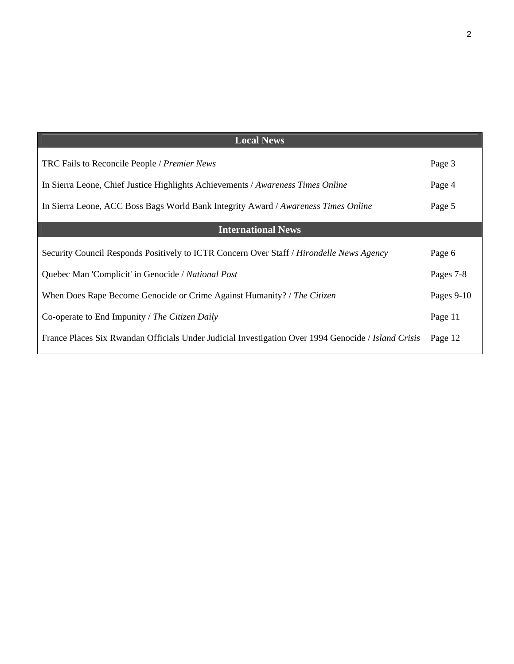| <b>Local News</b>                                                                                   |            |
|-----------------------------------------------------------------------------------------------------|------------|
| TRC Fails to Reconcile People / Premier News                                                        | Page 3     |
| In Sierra Leone, Chief Justice Highlights Achievements / Awareness Times Online                     | Page 4     |
| In Sierra Leone, ACC Boss Bags World Bank Integrity Award / Awareness Times Online                  | Page 5     |
| <b>International News</b>                                                                           |            |
| Security Council Responds Positively to ICTR Concern Over Staff / Hirondelle News Agency            | Page 6     |
| Quebec Man 'Complicit' in Genocide / National Post                                                  | Pages 7-8  |
| When Does Rape Become Genocide or Crime Against Humanity? / The Citizen                             | Pages 9-10 |
| Co-operate to End Impunity / The Citizen Daily                                                      | Page 11    |
| France Places Six Rwandan Officials Under Judicial Investigation Over 1994 Genocide / Island Crisis | Page 12    |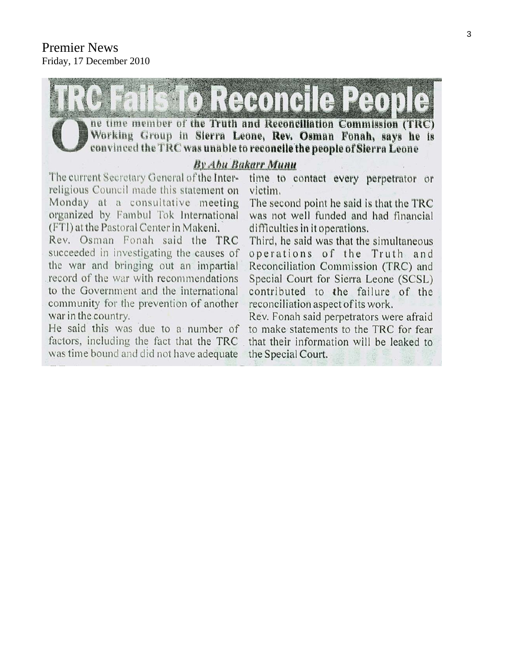

Rev. Osman Fonah said the TRC succeeded in investigating the causes of the war and bringing out an impartial record of the war with recommendations to the Government and the international community for the prevention of another war in the country.

He said this was due to a number of factors, including the fact that the TRC was time bound and did not have adequate

difficulties in it operations.

Third, he said was that the simultaneous operations of the Truth and Reconciliation Commission (TRC) and Special Court for Sierra Leone (SCSL) contributed to the failure of the reconciliation aspect of its work.

Rev. Fonah said perpetrators were afraid to make statements to the TRC for fear that their information will be leaked to the Special Court.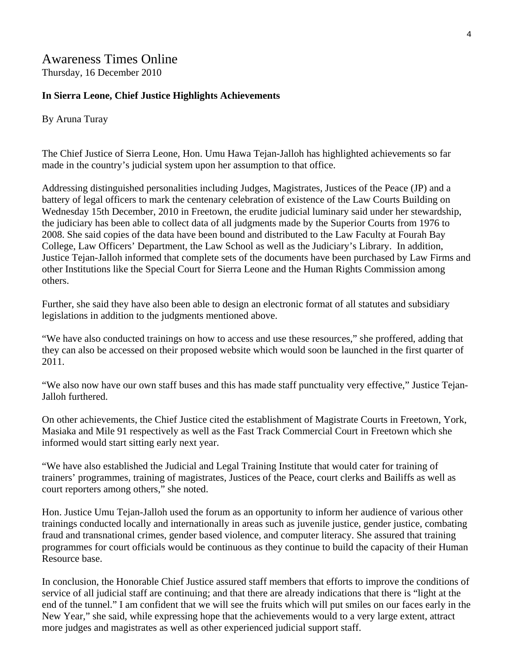## Awareness Times Online Thursday, 16 December 2010

## **In Sierra Leone, Chief Justice Highlights Achievements**

By Aruna Turay

The Chief Justice of Sierra Leone, Hon. Umu Hawa Tejan-Jalloh has highlighted achievements so far made in the country's judicial system upon her assumption to that office.

Addressing distinguished personalities including Judges, Magistrates, Justices of the Peace (JP) and a battery of legal officers to mark the centenary celebration of existence of the Law Courts Building on Wednesday 15th December, 2010 in Freetown, the erudite judicial luminary said under her stewardship, the judiciary has been able to collect data of all judgments made by the Superior Courts from 1976 to 2008. She said copies of the data have been bound and distributed to the Law Faculty at Fourah Bay College, Law Officers' Department, the Law School as well as the Judiciary's Library. In addition, Justice Tejan-Jalloh informed that complete sets of the documents have been purchased by Law Firms and other Institutions like the Special Court for Sierra Leone and the Human Rights Commission among others.

Further, she said they have also been able to design an electronic format of all statutes and subsidiary legislations in addition to the judgments mentioned above.

"We have also conducted trainings on how to access and use these resources," she proffered, adding that they can also be accessed on their proposed website which would soon be launched in the first quarter of 2011.

"We also now have our own staff buses and this has made staff punctuality very effective," Justice Tejan-Jalloh furthered.

On other achievements, the Chief Justice cited the establishment of Magistrate Courts in Freetown, York, Masiaka and Mile 91 respectively as well as the Fast Track Commercial Court in Freetown which she informed would start sitting early next year.

"We have also established the Judicial and Legal Training Institute that would cater for training of trainers' programmes, training of magistrates, Justices of the Peace, court clerks and Bailiffs as well as court reporters among others," she noted.

Hon. Justice Umu Tejan-Jalloh used the forum as an opportunity to inform her audience of various other trainings conducted locally and internationally in areas such as juvenile justice, gender justice, combating fraud and transnational crimes, gender based violence, and computer literacy. She assured that training programmes for court officials would be continuous as they continue to build the capacity of their Human Resource base.

In conclusion, the Honorable Chief Justice assured staff members that efforts to improve the conditions of service of all judicial staff are continuing; and that there are already indications that there is "light at the end of the tunnel." I am confident that we will see the fruits which will put smiles on our faces early in the New Year," she said, while expressing hope that the achievements would to a very large extent, attract more judges and magistrates as well as other experienced judicial support staff.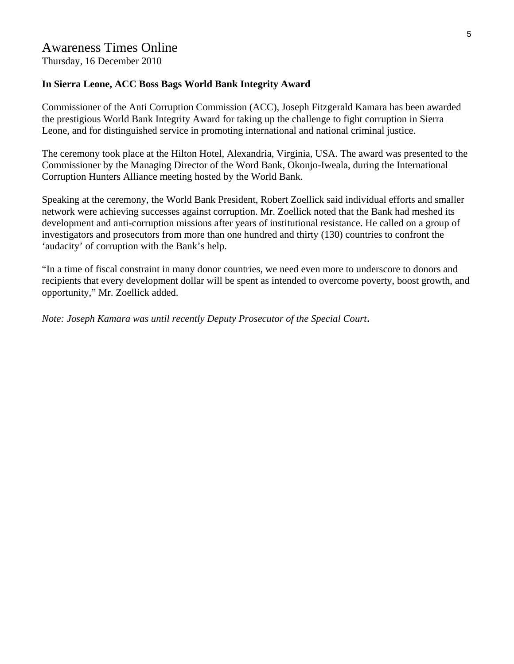## Awareness Times Online

Thursday, 16 December 2010

#### **In Sierra Leone, ACC Boss Bags World Bank Integrity Award**

Commissioner of the Anti Corruption Commission (ACC), Joseph Fitzgerald Kamara has been awarded the prestigious World Bank Integrity Award for taking up the challenge to fight corruption in Sierra Leone, and for distinguished service in promoting international and national criminal justice.

The ceremony took place at the Hilton Hotel, Alexandria, Virginia, USA. The award was presented to the Commissioner by the Managing Director of the Word Bank, Okonjo-Iweala, during the International Corruption Hunters Alliance meeting hosted by the World Bank.

Speaking at the ceremony, the World Bank President, Robert Zoellick said individual efforts and smaller network were achieving successes against corruption. Mr. Zoellick noted that the Bank had meshed its development and anti-corruption missions after years of institutional resistance. He called on a group of investigators and prosecutors from more than one hundred and thirty (130) countries to confront the 'audacity' of corruption with the Bank's help.

"In a time of fiscal constraint in many donor countries, we need even more to underscore to donors and recipients that every development dollar will be spent as intended to overcome poverty, boost growth, and opportunity," Mr. Zoellick added.

*Note: Joseph Kamara was until recently Deputy Prosecutor of the Special Court*.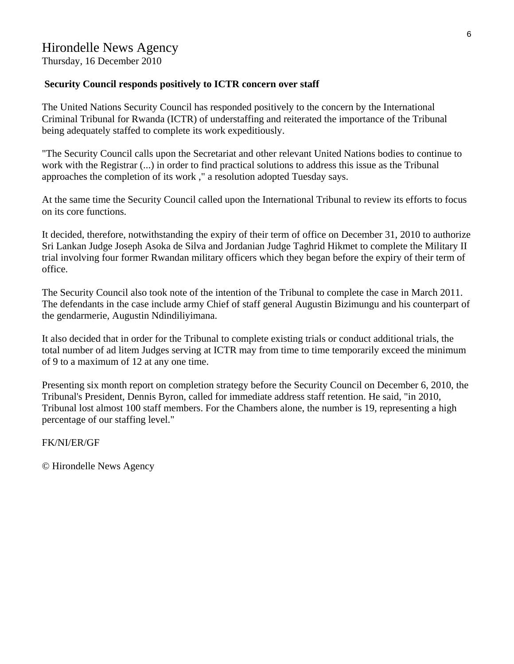Thursday, 16 December 2010

#### **Security Council responds positively to ICTR concern over staff**

The United Nations Security Council has responded positively to the concern by the International Criminal Tribunal for Rwanda (ICTR) of understaffing and reiterated the importance of the Tribunal being adequately staffed to complete its work expeditiously.

"The Security Council calls upon the Secretariat and other relevant United Nations bodies to continue to work with the Registrar (...) in order to find practical solutions to address this issue as the Tribunal approaches the completion of its work ," a resolution adopted Tuesday says.

At the same time the Security Council called upon the International Tribunal to review its efforts to focus on its core functions.

It decided, therefore, notwithstanding the expiry of their term of office on December 31, 2010 to authorize Sri Lankan Judge Joseph Asoka de Silva and Jordanian Judge Taghrid Hikmet to complete the Military II trial involving four former Rwandan military officers which they began before the expiry of their term of office.

The Security Council also took note of the intention of the Tribunal to complete the case in March 2011. The defendants in the case include army Chief of staff general Augustin Bizimungu and his counterpart of the gendarmerie, Augustin Ndindiliyimana.

It also decided that in order for the Tribunal to complete existing trials or conduct additional trials, the total number of ad litem Judges serving at ICTR may from time to time temporarily exceed the minimum of 9 to a maximum of 12 at any one time.

Presenting six month report on completion strategy before the Security Council on December 6, 2010, the Tribunal's President, Dennis Byron, called for immediate address staff retention. He said, "in 2010, Tribunal lost almost 100 staff members. For the Chambers alone, the number is 19, representing a high percentage of our staffing level."

FK/NI/ER/GF

© Hirondelle News Agency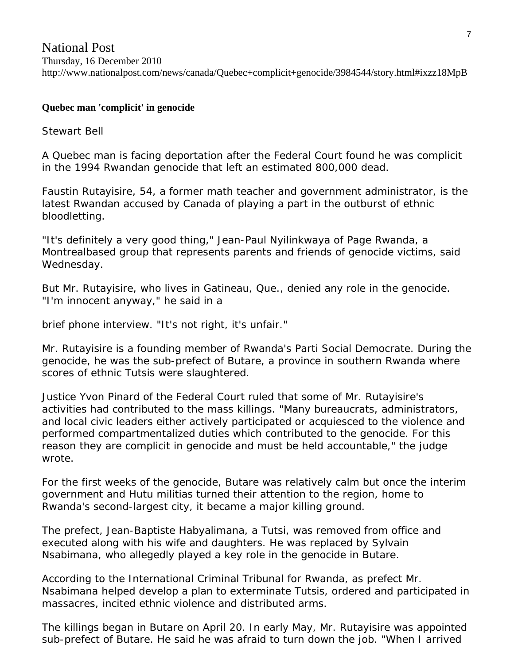# National Post Thursday, 16 December 2010 http://www.nationalpost.com/news/canada/Quebec+complicit+genocide/3984544/story.html#ixzz18MpB

# **Quebec man 'complicit' in genocide**

Stewart Bell

A Quebec man is facing deportation after the Federal Court found he was complicit in the 1994 Rwandan genocide that left an estimated 800,000 dead.

Faustin Rutayisire, 54, a former math teacher and government administrator, is the latest Rwandan accused by Canada of playing a part in the outburst of ethnic bloodletting.

"It's definitely a very good thing," Jean-Paul Nyilinkwaya of Page Rwanda, a Montrealbased group that represents parents and friends of genocide victims, said Wednesday.

But Mr. Rutayisire, who lives in Gatineau, Que., denied any role in the genocide. "I'm innocent anyway," he said in a

brief phone interview. "It's not right, it's unfair."

Mr. Rutayisire is a founding member of Rwanda's Parti Social Democrate. During the genocide, he was the sub-prefect of Butare, a province in southern Rwanda where scores of ethnic Tutsis were slaughtered.

Justice Yvon Pinard of the Federal Court ruled that some of Mr. Rutayisire's activities had contributed to the mass killings. "Many bureaucrats, administrators, and local civic leaders either actively participated or acquiesced to the violence and performed compartmentalized duties which contributed to the genocide. For this reason they are complicit in genocide and must be held accountable," the judge wrote.

For the first weeks of the genocide, Butare was relatively calm but once the interim government and Hutu militias turned their attention to the region, home to Rwanda's second-largest city, it became a major killing ground.

The prefect, Jean-Baptiste Habyalimana, a Tutsi, was removed from office and executed along with his wife and daughters. He was replaced by Sylvain Nsabimana, who allegedly played a key role in the genocide in Butare.

According to the International Criminal Tribunal for Rwanda, as prefect Mr. Nsabimana helped develop a plan to exterminate Tutsis, ordered and participated in massacres, incited ethnic violence and distributed arms.

The killings began in Butare on April 20. In early May, Mr. Rutayisire was appointed sub-prefect of Butare. He said he was afraid to turn down the job. "When I arrived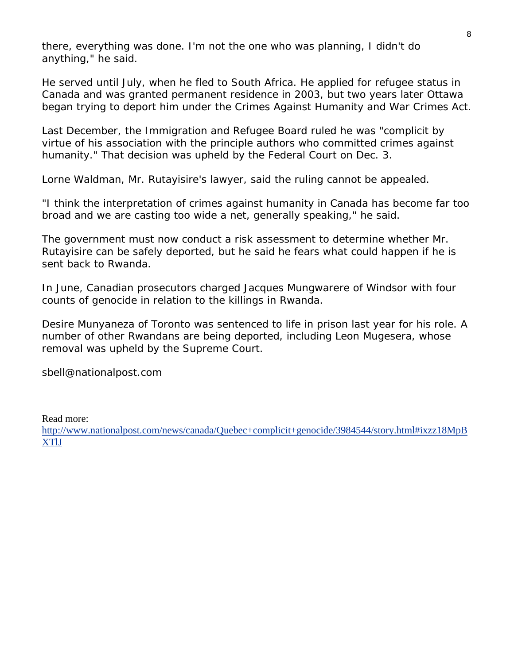there, everything was done. I'm not the one who was planning, I didn't do anything," he said.

He served until July, when he fled to South Africa. He applied for refugee status in Canada and was granted permanent residence in 2003, but two years later Ottawa began trying to deport him under the Crimes Against Humanity and War Crimes Act.

Last December, the Immigration and Refugee Board ruled he was "complicit by virtue of his association with the principle authors who committed crimes against humanity." That decision was upheld by the Federal Court on Dec. 3.

Lorne Waldman, Mr. Rutayisire's lawyer, said the ruling cannot be appealed.

"I think the interpretation of crimes against humanity in Canada has become far too broad and we are casting too wide a net, generally speaking," he said.

The government must now conduct a risk assessment to determine whether Mr. Rutayisire can be safely deported, but he said he fears what could happen if he is sent back to Rwanda.

In June, Canadian prosecutors charged Jacques Mungwarere of Windsor with four counts of genocide in relation to the killings in Rwanda.

Desire Munyaneza of Toronto was sentenced to life in prison last year for his role. A number of other Rwandans are being deported, including Leon Mugesera, whose removal was upheld by the Supreme Court.

sbell@nationalpost.com

Read more:

[http://www.nationalpost.com/news/canada/Quebec+complicit+genocide/3984544/story.html#ixzz18MpB](http://www.nationalpost.com/news/canada/Quebec+complicit+genocide/3984544/story.html#ixzz18MpBXTlJ) [XTlJ](http://www.nationalpost.com/news/canada/Quebec+complicit+genocide/3984544/story.html#ixzz18MpBXTlJ)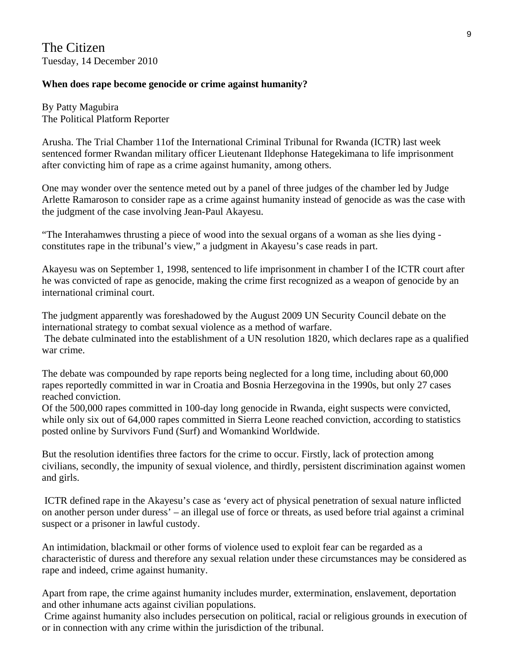The Citizen Tuesday, 14 December 2010

#### **When does rape become genocide or crime against humanity?**

By Patty Magubira The Political Platform Reporter

Arusha. The Trial Chamber 11of the International Criminal Tribunal for Rwanda (ICTR) last week sentenced former Rwandan military officer Lieutenant Ildephonse Hategekimana to life imprisonment after convicting him of rape as a crime against humanity, among others.

One may wonder over the sentence meted out by a panel of three judges of the chamber led by Judge Arlette Ramaroson to consider rape as a crime against humanity instead of genocide as was the case with the judgment of the case involving Jean-Paul Akayesu.

"The Interahamwes thrusting a piece of wood into the sexual organs of a woman as she lies dying constitutes rape in the tribunal's view," a judgment in Akayesu's case reads in part.

Akayesu was on September 1, 1998, sentenced to life imprisonment in chamber I of the ICTR court after he was convicted of rape as genocide, making the crime first recognized as a weapon of genocide by an international criminal court.

The judgment apparently was foreshadowed by the August 2009 UN Security Council debate on the international strategy to combat sexual violence as a method of warfare.

 The debate culminated into the establishment of a UN resolution 1820, which declares rape as a qualified war crime.

The debate was compounded by rape reports being neglected for a long time, including about 60,000 rapes reportedly committed in war in Croatia and Bosnia Herzegovina in the 1990s, but only 27 cases reached conviction.

Of the 500,000 rapes committed in 100-day long genocide in Rwanda, eight suspects were convicted, while only six out of 64,000 rapes committed in Sierra Leone reached conviction, according to statistics posted online by Survivors Fund (Surf) and Womankind Worldwide.

But the resolution identifies three factors for the crime to occur. Firstly, lack of protection among civilians, secondly, the impunity of sexual violence, and thirdly, persistent discrimination against women and girls.

 ICTR defined rape in the Akayesu's case as 'every act of physical penetration of sexual nature inflicted on another person under duress' – an illegal use of force or threats, as used before trial against a criminal suspect or a prisoner in lawful custody.

An intimidation, blackmail or other forms of violence used to exploit fear can be regarded as a characteristic of duress and therefore any sexual relation under these circumstances may be considered as rape and indeed, crime against humanity.

Apart from rape, the crime against humanity includes murder, extermination, enslavement, deportation and other inhumane acts against civilian populations.

 Crime against humanity also includes persecution on political, racial or religious grounds in execution of or in connection with any crime within the jurisdiction of the tribunal.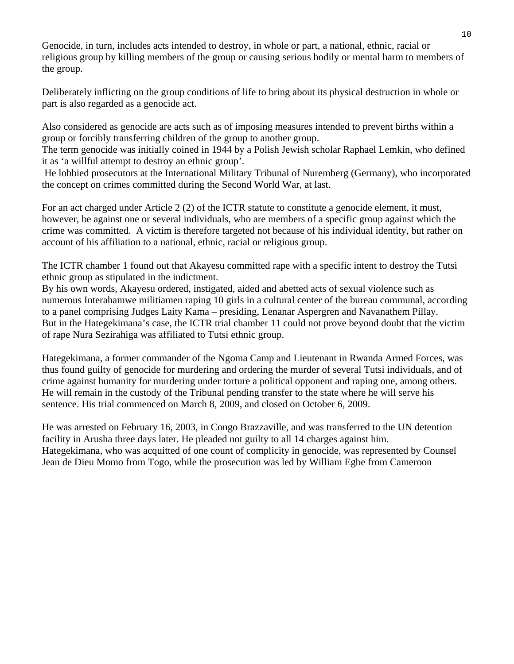Genocide, in turn, includes acts intended to destroy, in whole or part, a national, ethnic, racial or religious group by killing members of the group or causing serious bodily or mental harm to members of the group.

Deliberately inflicting on the group conditions of life to bring about its physical destruction in whole or part is also regarded as a genocide act.

Also considered as genocide are acts such as of imposing measures intended to prevent births within a group or forcibly transferring children of the group to another group.

The term genocide was initially coined in 1944 by a Polish Jewish scholar Raphael Lemkin, who defined it as 'a willful attempt to destroy an ethnic group'.

 He lobbied prosecutors at the International Military Tribunal of Nuremberg (Germany), who incorporated the concept on crimes committed during the Second World War, at last.

For an act charged under Article 2 (2) of the ICTR statute to constitute a genocide element, it must, however, be against one or several individuals, who are members of a specific group against which the crime was committed. A victim is therefore targeted not because of his individual identity, but rather on account of his affiliation to a national, ethnic, racial or religious group.

The ICTR chamber 1 found out that Akayesu committed rape with a specific intent to destroy the Tutsi ethnic group as stipulated in the indictment.

By his own words, Akayesu ordered, instigated, aided and abetted acts of sexual violence such as numerous Interahamwe militiamen raping 10 girls in a cultural center of the bureau communal, according to a panel comprising Judges Laity Kama – presiding, Lenanar Aspergren and Navanathem Pillay. But in the Hategekimana's case, the ICTR trial chamber 11 could not prove beyond doubt that the victim of rape Nura Sezirahiga was affiliated to Tutsi ethnic group.

Hategekimana, a former commander of the Ngoma Camp and Lieutenant in Rwanda Armed Forces, was thus found guilty of genocide for murdering and ordering the murder of several Tutsi individuals, and of crime against humanity for murdering under torture a political opponent and raping one, among others. He will remain in the custody of the Tribunal pending transfer to the state where he will serve his sentence. His trial commenced on March 8, 2009, and closed on October 6, 2009.

He was arrested on February 16, 2003, in Congo Brazzaville, and was transferred to the UN detention facility in Arusha three days later. He pleaded not guilty to all 14 charges against him. Hategekimana, who was acquitted of one count of complicity in genocide, was represented by Counsel Jean de Dieu Momo from Togo, while the prosecution was led by William Egbe from Cameroon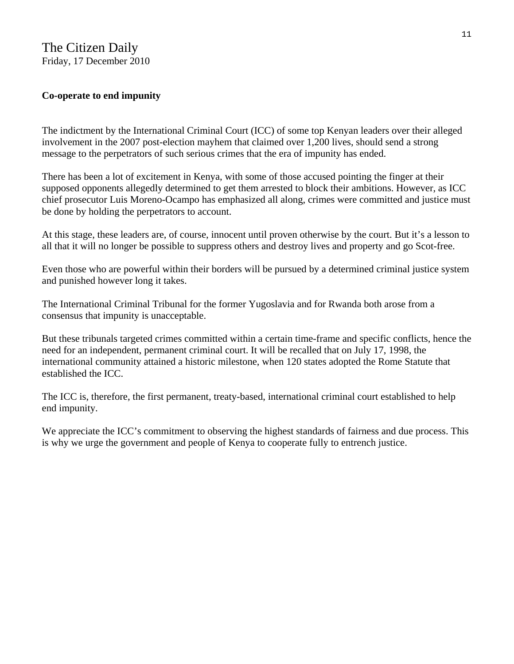# The Citizen Daily Friday, 17 December 2010

## **Co-operate to end impunity**

The indictment by the International Criminal Court (ICC) of some top Kenyan leaders over their alleged involvement in the 2007 post-election mayhem that claimed over 1,200 lives, should send a strong message to the perpetrators of such serious crimes that the era of impunity has ended.

There has been a lot of excitement in Kenya, with some of those accused pointing the finger at their supposed opponents allegedly determined to get them arrested to block their ambitions. However, as ICC chief prosecutor Luis Moreno-Ocampo has emphasized all along, crimes were committed and justice must be done by holding the perpetrators to account.

At this stage, these leaders are, of course, innocent until proven otherwise by the court. But it's a lesson to all that it will no longer be possible to suppress others and destroy lives and property and go Scot-free.

Even those who are powerful within their borders will be pursued by a determined criminal justice system and punished however long it takes.

The International Criminal Tribunal for the former Yugoslavia and for Rwanda both arose from a consensus that impunity is unacceptable.

But these tribunals targeted crimes committed within a certain time-frame and specific conflicts, hence the need for an independent, permanent criminal court. It will be recalled that on July 17, 1998, the international community attained a historic milestone, when 120 states adopted the Rome Statute that established the ICC.

The ICC is, therefore, the first permanent, treaty-based, international criminal court established to help end impunity.

We appreciate the ICC's commitment to observing the highest standards of fairness and due process. This is why we urge the government and people of Kenya to cooperate fully to entrench justice.